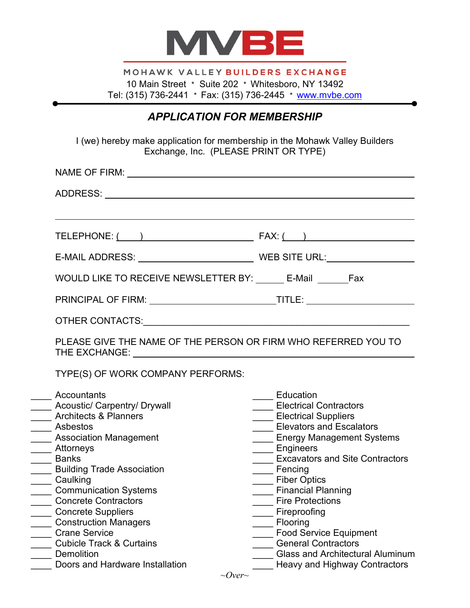

MOHAWK VALLEY BUILDERS EXCHANGE 10 Main Street \* Suite 202 \* Whitesboro, NY 13492 Tel: (315) 736-2441 \* Fax: (315) 736-2445 \* [www.mvbe.com](http://www.mvbe.com/)

## *APPLICATION FOR MEMBERSHIP*

I (we) hereby make application for membership in the Mohawk Valley Builders Exchange, Inc. (PLEASE PRINT OR TYPE)

| WOULD LIKE TO RECEIVE NEWSLETTER BY: ______ E-Mail _______ Fax                                     |                                                                                                              |
|----------------------------------------------------------------------------------------------------|--------------------------------------------------------------------------------------------------------------|
|                                                                                                    |                                                                                                              |
|                                                                                                    |                                                                                                              |
| PLEASE GIVE THE NAME OF THE PERSON OR FIRM WHO REFERRED YOU TO                                     |                                                                                                              |
| TYPE(S) OF WORK COMPANY PERFORMS:                                                                  |                                                                                                              |
| Accountants<br><b>Acoustic/ Carpentry/ Drywall</b><br><b>Architects &amp; Planners</b><br>Asbestos | Education<br><b>Electrical Contractors</b><br><b>Electrical Suppliers</b><br><b>Elevators and Escalators</b> |
| <b>Association Management</b><br>Attorneys                                                         | ____ Energy Management Systems<br>____ Engineers<br><b>Excavators and Site Contractors</b>                   |
| <b>Banks</b><br><b>Building Trade Association</b>                                                  | ____ Fencing                                                                                                 |
| Caulking<br><b>Communication Systems</b><br><b>Concrete Contractors</b>                            | ____ Fiber Optics<br><b>Financial Planning</b><br><b>Fire Protections</b>                                    |
| <b>Concrete Suppliers</b><br><b>Construction Managers</b>                                          | Fireproofing<br>Flooring                                                                                     |
| <b>Crane Service</b><br><b>Cubicle Track &amp; Curtains</b>                                        | <b>Food Service Equipment</b><br><b>General Contractors</b>                                                  |
| <b>Demolition</b><br>Doors and Hardware Installation                                               | <b>Glass and Architectural Aluminum</b><br><b>Heavy and Highway Contractors</b>                              |